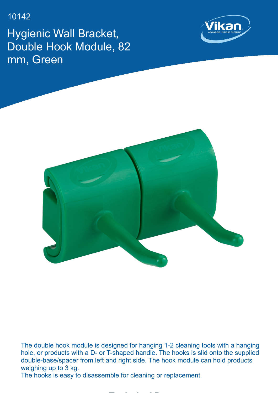10142

Hygienic Wall Bracket, Double Hook Module, 82 mm, Green





The double hook module is designed for hanging 1-2 cleaning tools with a hanging hole, or products with a D- or T-shaped handle. The hooks is slid onto the supplied double-base/spacer from left and right side. The hook module can hold products weighing up to 3 kg.

**Technical Data**

The hooks is easy to disassemble for cleaning or replacement.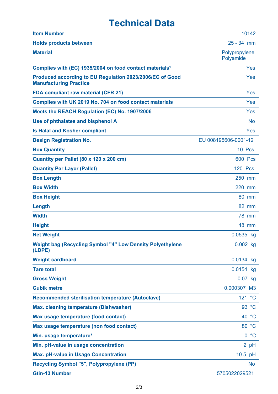## **Technical Data**

| <b>Item Number</b>                                                                        | 10142                      |
|-------------------------------------------------------------------------------------------|----------------------------|
| <b>Holds products between</b>                                                             | $25 - 34$ mm               |
| <b>Material</b>                                                                           | Polypropylene<br>Polyamide |
| Complies with (EC) 1935/2004 on food contact materials <sup>1</sup>                       | Yes                        |
| Produced according to EU Regulation 2023/2006/EC of Good<br><b>Manufacturing Practice</b> | Yes                        |
| <b>FDA compliant raw material (CFR 21)</b>                                                | Yes                        |
| Complies with UK 2019 No. 704 on food contact materials                                   | Yes                        |
| Meets the REACH Regulation (EC) No. 1907/2006                                             | Yes                        |
| Use of phthalates and bisphenol A                                                         | <b>No</b>                  |
| <b>Is Halal and Kosher compliant</b>                                                      | Yes                        |
| <b>Design Registration No.</b>                                                            | EU 008195606-0001-12       |
| <b>Box Quantity</b>                                                                       | 10 Pcs.                    |
| Quantity per Pallet (80 x 120 x 200 cm)                                                   | <b>600 Pcs</b>             |
| <b>Quantity Per Layer (Pallet)</b>                                                        | 120 Pcs.                   |
| <b>Box Length</b>                                                                         | 250 mm                     |
| <b>Box Width</b>                                                                          | 220 mm                     |
| <b>Box Height</b>                                                                         | 80 mm                      |
| Length                                                                                    | 82 mm                      |
| <b>Width</b>                                                                              | <b>78 mm</b>               |
| <b>Height</b>                                                                             | 48 mm                      |
| <b>Net Weight</b>                                                                         | 0.0535 kg                  |
| <b>Weight bag (Recycling Symbol "4" Low Density Polyethylene</b><br>(LDPE)                | $0.002$ kg                 |
| <b>Weight cardboard</b>                                                                   | 0.0134 kg                  |
| <b>Tare total</b>                                                                         | 0.0154 kg                  |
| <b>Gross Weight</b>                                                                       | $0.07$ kg                  |
| <b>Cubik metre</b>                                                                        | 0.000307 M3                |
| <b>Recommended sterilisation temperature (Autoclave)</b>                                  | 121 °C                     |
| <b>Max. cleaning temperature (Dishwasher)</b>                                             | 93 °C                      |
| Max usage temperature (food contact)                                                      | 40 °C                      |
| Max usage temperature (non food contact)                                                  | 80 °C                      |
| Min. usage temperature <sup>3</sup>                                                       | 0 °C                       |
| Min. pH-value in usage concentration                                                      | 2 pH                       |
| <b>Max. pH-value in Usage Concentration</b>                                               | 10.5 pH                    |
| <b>Recycling Symbol "5", Polypropylene (PP)</b>                                           | <b>No</b>                  |
| <b>Gtin-13 Number</b>                                                                     | 5705022029521              |